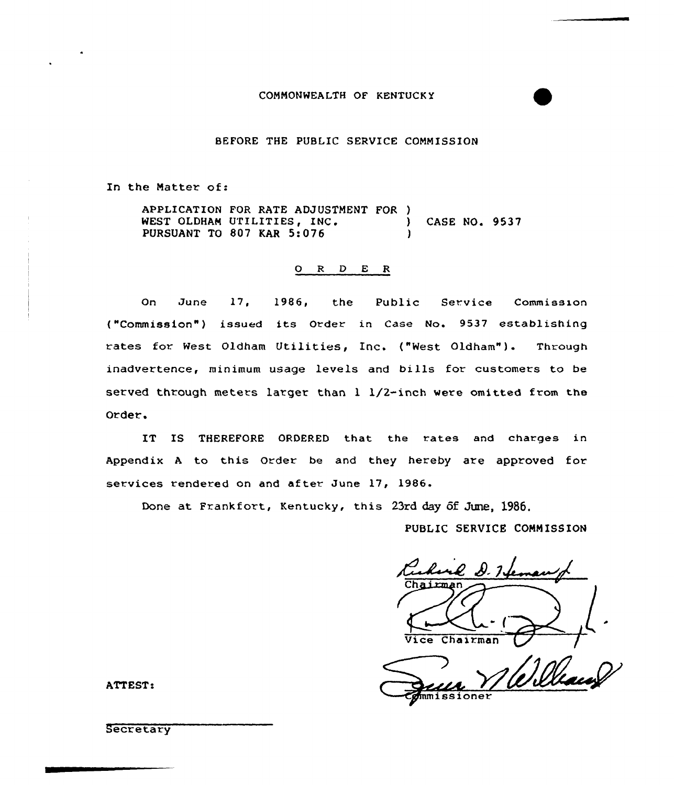### COMNONWEALTH OF KENTUCKY

## BEFORE THE PUBLIC SERVICE CONNISSION

In the Natter of:

APPLICATION FOR RATE ADJUSTMENT FOR ) WEST OLDHAM UTILITIES, INC. (ASE NO. 9537 PURSUANT TO 807 KAR 5:076

#### O R D E R

On June 17, 1986, the Public Service Commission ("Commission") issued its Order in Case No. 9537 establishing rates for West Oldham Utilities, Inc. ("West Oldham"). Through inadvertence, minimum usage levels and bills fox customers to be served through meters larger than 1 1/2-inch were omitted from the Ordex .

IT IS THEREFORE ORDERED that the rates and charges in Appendix A to this Order be and they hereby are approved for services rendered on and after June 17, 1986.

Done at Frankfort, Kentucky, this 23rd day of June, 1986.

PUBLIC SERVICE CONN ISSION

D. N. 1. Chairmar ,l Vice Chairman

mmissioner

ATTEST:

**Secretary**